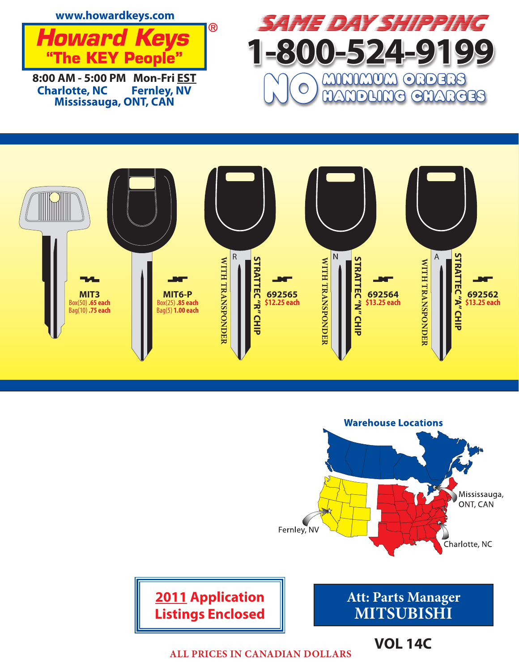







**ALL PRICES IN CANADIAN DOLLARS**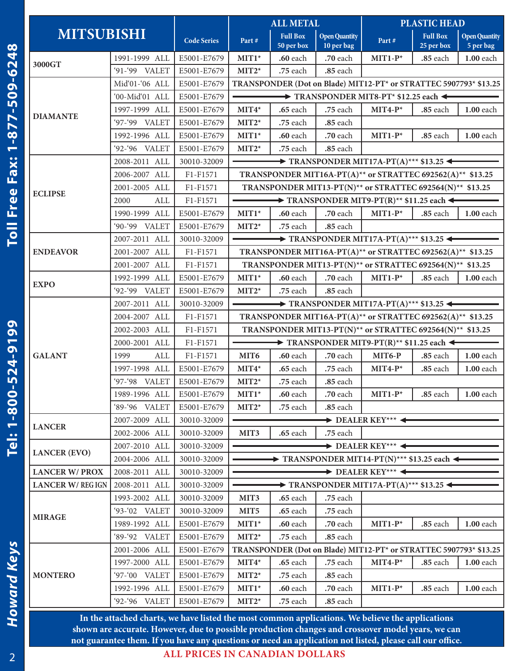| <b>MITSUBISHI</b>      |                |                    | <b>ALL METAL</b>                                                                  |                               |                                    | <b>PLASTIC HEAD</b>                                               |                               |                                   |
|------------------------|----------------|--------------------|-----------------------------------------------------------------------------------|-------------------------------|------------------------------------|-------------------------------------------------------------------|-------------------------------|-----------------------------------|
|                        |                | <b>Code Series</b> | Part#                                                                             | <b>Full Box</b><br>50 per box | <b>Open Quantity</b><br>10 per bag | Part#                                                             | <b>Full Box</b><br>25 per box | <b>Open Quantity</b><br>5 per bag |
| 3000GT                 | 1991-1999 ALL  | E5001-E7679        | $MIT1*$                                                                           | .60 each                      | .70 each                           | $MIT1-P*$                                                         | .85 each                      | 1.00 each                         |
|                        | '91-'99 VALET  | E5001-E7679        | $MIT2*$                                                                           | .75 each                      | .85 each                           |                                                                   |                               |                                   |
| <b>DIAMANTE</b>        | Mid'01-'06 ALL | E5001-E7679        | TRANSPONDER (Dot on Blade) MIT12-PT* or STRATTEC 5907793* \$13.25                 |                               |                                    |                                                                   |                               |                                   |
|                        | '00-Mid'01 ALL | E5001-E7679        | $\rightarrow$ TRANSPONDER MIT8-PT* \$12.25 each $\leftarrow$                      |                               |                                    |                                                                   |                               |                                   |
|                        | 1997-1999 ALL  | E5001-E7679        | $MIT4*$                                                                           | .65 each                      | .75 each                           | $MIT4-P*$                                                         | .85 each                      | <b>1.00</b> each                  |
|                        | '97-'99 VALET  | E5001-E7679        | $MIT2*$                                                                           | .75 each                      | .85 each                           |                                                                   |                               |                                   |
|                        | 1992-1996 ALL  | E5001-E7679        | $MIT1*$                                                                           | .60 each                      | .70 each                           | $MIT1-P*$                                                         | .85 each                      | $1.00$ each                       |
|                        | '92-'96 VALET  | E5001-E7679        | $MIT2*$                                                                           | .75 each                      | .85 each                           |                                                                   |                               |                                   |
| <b>ECLIPSE</b>         | 2008-2011 ALL  | 30010-32009        | TRANSPONDER MIT17A-PT(A)*** \$13.25                                               |                               |                                    |                                                                   |                               |                                   |
|                        | 2006-2007 ALL  | F1-F1571           | TRANSPONDER MIT16A-PT(A)** or STRATTEC 692562(A)** \$13.25                        |                               |                                    |                                                                   |                               |                                   |
|                        | 2001-2005 ALL  | F1-F1571           | TRANSPONDER MIT13-PT(N) <sup>**</sup> or STRATTEC 692564(N) <sup>**</sup> \$13.25 |                               |                                    |                                                                   |                               |                                   |
|                        | 2000<br>ALL    | F1-F1571           |                                                                                   |                               |                                    | TRANSPONDER MIT9-PT(R) <sup>**</sup> \$11.25 each $\triangleleft$ |                               |                                   |
|                        | 1990-1999 ALL  | E5001-E7679        | $MIT1*$                                                                           | .60 each                      | .70 each                           | $MIT1-P*$                                                         | .85 each                      | 1.00 each                         |
|                        | '90-'99 VALET  | E5001-E7679        | $MIT2*$                                                                           | .75 each                      | .85 each                           |                                                                   |                               |                                   |
| <b>ENDEAVOR</b>        | 2007-2011 ALL  | 30010-32009        | $\rightarrow$ TRANSPONDER MIT17A-PT(A)*** \$13.25                                 |                               |                                    |                                                                   |                               |                                   |
|                        | 2001-2007 ALL  | F1-F1571           | TRANSPONDER MIT16A-PT(A)** or STRATTEC 692562(A)** \$13.25                        |                               |                                    |                                                                   |                               |                                   |
|                        | 2001-2007 ALL  | F1-F1571           | TRANSPONDER MIT13-PT(N) <sup>**</sup> or STRATTEC 692564(N) <sup>**</sup> \$13.25 |                               |                                    |                                                                   |                               |                                   |
| <b>EXPO</b>            | 1992-1999 ALL  | E5001-E7679        | $MIT1*$                                                                           | .60 each                      | .70 each                           | $MIT1-P*$                                                         | .85 each                      | 1.00 each                         |
|                        | '92-'99 VALET  | E5001-E7679        | $MIT2*$                                                                           | .75 each                      | .85 each                           |                                                                   |                               |                                   |
| <b>GALANT</b>          | 2007-2011 ALL  | 30010-32009        |                                                                                   |                               |                                    | $\longrightarrow$ TRANSPONDER MIT17A-PT(A)*** \$13.25             |                               |                                   |
|                        | 2004-2007 ALL  | F1-F1571           | TRANSPONDER MIT16A-PT(A)** or STRATTEC 692562(A)** \$13.25                        |                               |                                    |                                                                   |                               |                                   |
|                        | 2002-2003 ALL  | F1-F1571           | TRANSPONDER MIT13-PT(N) <sup>**</sup> or STRATTEC 692564(N) <sup>**</sup> \$13.25 |                               |                                    |                                                                   |                               |                                   |
|                        | 2000-2001 ALL  | F1-F1571           | $\rightarrow$ TRANSPONDER MIT9-PT(R) <sup>**</sup> \$11.25 each $\leftarrow$      |                               |                                    |                                                                   |                               |                                   |
|                        | ALL<br>1999    | F1-F1571           | MIT6                                                                              | .60 each                      | .70 each                           | MIT6-P                                                            | .85 each                      | 1.00 each                         |
|                        | 1997-1998 ALL  | E5001-E7679        | $MIT4*$                                                                           | .65 each                      | .75 each                           | $MIT4-P*$                                                         | .85 each                      | $1.00$ each                       |
|                        | '97-'98 VALET  | E5001-E7679        | $MIT2*$                                                                           | .75 each                      | .85 each                           |                                                                   |                               |                                   |
|                        | 1989-1996 ALL  | E5001-E7679        | $MIT1*$                                                                           | .60 each                      | .70 each                           | $MIT1-P*$                                                         | .85 each                      | <b>1.00</b> each                  |
|                        | '89-'96 VALET  | E5001-E7679        | $MIT2*$                                                                           | .75 each                      | <b>.85</b> each                    |                                                                   |                               |                                   |
| <b>LANCER</b>          | 2007-2009 ALL  | 30010-32009        | $\rightarrow$ DEALER KEY***                                                       |                               |                                    |                                                                   |                               |                                   |
|                        | 2002-2006 ALL  | 30010-32009        | MIT <sub>3</sub>                                                                  | .65 each                      | .75 each                           |                                                                   |                               |                                   |
| <b>LANCER (EVO)</b>    | 2007-2010 ALL  | 30010-32009        | $\rightarrow$ DEALER KEY***                                                       |                               |                                    |                                                                   |                               |                                   |
|                        | 2004-2006 ALL  | 30010-32009        | TRANSPONDER MIT14-PT(N)*** \$13.25 each $\leftarrow$                              |                               |                                    |                                                                   |                               |                                   |
| <b>LANCER W/ PROX</b>  | 2008-2011 ALL  | 30010-32009        | $\rightarrow$ DEALER KEY***                                                       |                               |                                    |                                                                   |                               |                                   |
| <b>LANCER W/REGIGN</b> | 2008-2011 ALL  | 30010-32009        | $\rightarrow$ TRANSPONDER MIT17A-PT(A)*** \$13.25                                 |                               |                                    |                                                                   |                               |                                   |
| <b>MIRAGE</b>          | 1993-2002 ALL  | 30010-32009        | MIT3                                                                              | .65 each                      | .75 each                           |                                                                   |                               |                                   |
|                        | '93-'02 VALET  | 30010-32009        | MIT <sub>5</sub>                                                                  | .65 each                      | .75 each                           |                                                                   |                               |                                   |
|                        | 1989-1992 ALL  | E5001-E7679        | $MIT1*$                                                                           | .60 each                      | .70 each                           | $MIT1-P*$                                                         | $\boldsymbol{.85}$ each       | <b>1.00</b> each                  |
|                        | '89-'92 VALET  | E5001-E7679        | $MIT2*$                                                                           | .75 each                      | .85 each                           |                                                                   |                               |                                   |
| <b>MONTERO</b>         | 2001-2006 ALL  | E5001-E7679        | TRANSPONDER (Dot on Blade) MIT12-PT* or STRATTEC 5907793* \$13.25                 |                               |                                    |                                                                   |                               |                                   |
|                        | 1997-2000 ALL  | E5001-E7679        | $MIT4*$                                                                           | .65 each                      | .75 each                           | $MIT4-P*$                                                         | .85 each                      | <b>1.00</b> each                  |
|                        | '97-'00 VALET  | E5001-E7679        | $MIT2*$                                                                           | .75 each                      | .85 each                           |                                                                   |                               |                                   |
|                        | 1992-1996 ALL  | E5001-E7679        | $MIT1*$                                                                           | .60 each                      | .70 each                           | $MIT1-P*$                                                         | .85 each                      | <b>1.00</b> each                  |
|                        | '92-'96 VALET  | E5001-E7679        | $MIT2*$                                                                           | .75 each                      | .85 each                           |                                                                   |                               |                                   |
|                        |                |                    |                                                                                   |                               |                                    |                                                                   |                               |                                   |

**In the attached charts, we have listed the most common applications. We believe the applications shown are accurate. However, due to possible production changes and crossover model years, we can not guarantee them. If you have any questions or need an application not listed, please call our office.**

**Howard Keys** 

Tel: 1-800-524-9199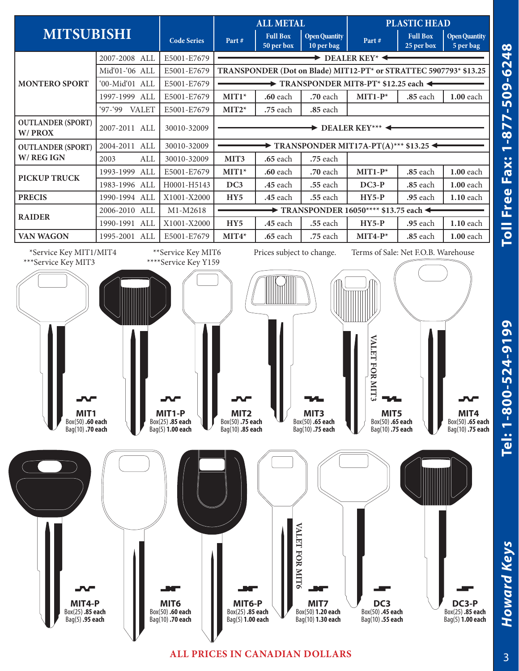

**ALL PRICES IN CANADIAN DOLLARS**

Howard Keys

Toll Free Fax: 1-877-509-6248 *Howard Keys* **Tel: 1-800-524-9199 Toll Free Fax: 1-877-509-6248**

Tel: 1-800-524-9199